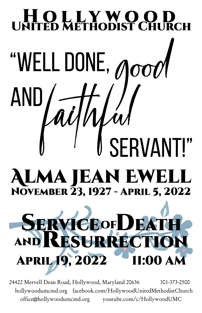# LO LLYWOC "WELL DONE,  $\overline{OP}$ AND SERVANT!" **ALMA JEAN EWELL** NOVEMBER 23, 1927 - APRIL 5, 2022 **SERVICEOFDEAT** RESURRECT

24422 Mervell Dean Road, Hollywood, Maryland 20636 301-373-2500 hollywoodumcmd.org facebook.com/HollywoodUnitedMethodistChurch office@hollywoodumcmd.org youtube.com/c/HollywoodUMC

1:00 AN

**APRIL 19, 2022**